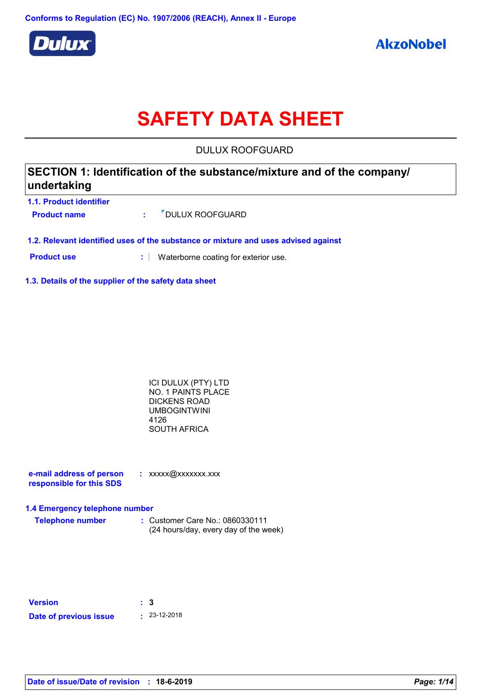

# **SAFETY DATA SHEET**

DULUX ROOFGUARD

| SECTION 1: Identification of the substance/mixture and of the company/ |  |  |  |  |
|------------------------------------------------------------------------|--|--|--|--|
| undertaking                                                            |  |  |  |  |
| <b>1.1. Product identifier</b>                                         |  |  |  |  |

- **Product name :** Product name **:** PDULUX ROOFGUARD
- **1.2. Relevant identified uses of the substance or mixture and uses advised against**
- **Product use <b>:** Waterborne coating for exterior use.
- **1.3. Details of the supplier of the safety data sheet**

| ICI DULUX (PTY) LTD |  |
|---------------------|--|
| NO. 1 PAINTS PLACE  |  |
| <b>DICKENS ROAD</b> |  |
| <b>UMBOGINTWINI</b> |  |
| 4126                |  |
| <b>SOUTH AFRICA</b> |  |

| e-mail address of person | : xxxxx@xxxxxxx.xxx |
|--------------------------|---------------------|
| responsible for this SDS |                     |

#### **1.4 Emergency telephone number**

| <b>Telephone number</b> | : Customer Care No.: 0860330111       |
|-------------------------|---------------------------------------|
|                         | (24 hours/day, every day of the week) |

| <b>Version</b>         | : 3 |                    |
|------------------------|-----|--------------------|
| Date of previous issue |     | $\cdot$ 23-12-2018 |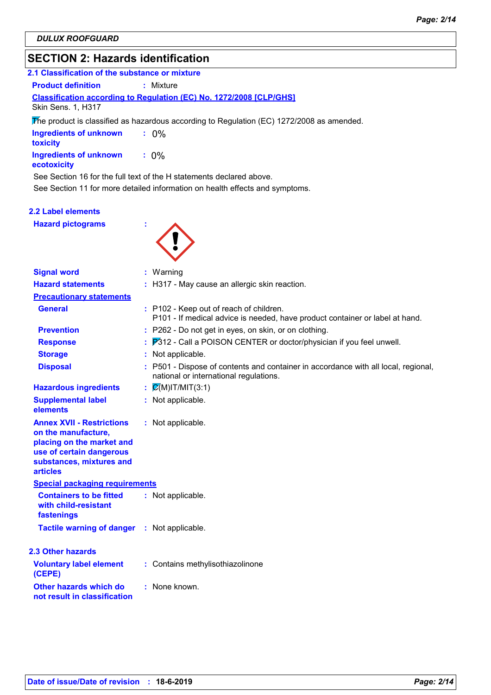## **SECTION 2: Hazards identification**

## **Classification according to Regulation (EC) No. 1272/2008 [CLP/GHS] 2.1 Classification of the substance or mixture Product definition : Mixture**

Skin Sens. 1, H317

The product is classified as hazardous according to Regulation (EC) 1272/2008 as amended.

| <b>Ingredients of unknown</b><br><b>toxicity</b> | $: 0\%$ |
|--------------------------------------------------|---------|
| Ingredients of unknown<br>ecotoxicity            | $: 0\%$ |

See Section 16 for the full text of the H statements declared above.

See Section 11 for more detailed information on health effects and symptoms.

## **2.2 Label elements**

**Hazard pictograms :**



| <b>Signal word</b>                                                                                                                                       | : Warning                                                                                                                    |
|----------------------------------------------------------------------------------------------------------------------------------------------------------|------------------------------------------------------------------------------------------------------------------------------|
| <b>Hazard statements</b>                                                                                                                                 | : H317 - May cause an allergic skin reaction.                                                                                |
| <b>Precautionary statements</b>                                                                                                                          |                                                                                                                              |
| <b>General</b>                                                                                                                                           | : P102 - Keep out of reach of children.<br>P101 - If medical advice is needed, have product container or label at hand.      |
| <b>Prevention</b>                                                                                                                                        | : P262 - Do not get in eyes, on skin, or on clothing.                                                                        |
| <b>Response</b>                                                                                                                                          | P312 - Call a POISON CENTER or doctor/physician if you feel unwell.                                                          |
| <b>Storage</b>                                                                                                                                           | Not applicable.                                                                                                              |
| <b>Disposal</b>                                                                                                                                          | : P501 - Dispose of contents and container in accordance with all local, regional,<br>national or international regulations. |
| <b>Hazardous ingredients</b>                                                                                                                             | $\mathcal{Q}(M)$ IT/MIT(3:1)                                                                                                 |
| <b>Supplemental label</b><br>elements                                                                                                                    | : Not applicable.                                                                                                            |
| <b>Annex XVII - Restrictions</b><br>on the manufacture,<br>placing on the market and<br>use of certain dangerous<br>substances, mixtures and<br>articles | : Not applicable.                                                                                                            |
| <b>Special packaging requirements</b>                                                                                                                    |                                                                                                                              |
| <b>Containers to be fitted</b><br>with child-resistant<br>fastenings                                                                                     | : Not applicable.                                                                                                            |
| <b>Tactile warning of danger</b>                                                                                                                         | : Not applicable.                                                                                                            |
| <b>2.3 Other hazards</b>                                                                                                                                 |                                                                                                                              |
| <b>Voluntary label element</b><br>(CEPE)                                                                                                                 | : Contains methylisothiazolinone                                                                                             |
| Other hazards which do<br>not result in classification                                                                                                   | : None known.                                                                                                                |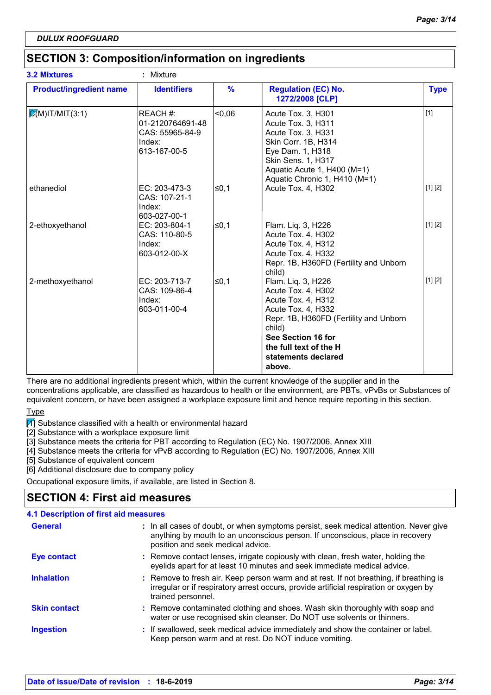## **SECTION 3: Composition/information on ingredients**

|                                | <b>Identifiers</b>                                                        | $\frac{9}{6}$ | <b>Regulation (EC) No.</b>                                                                                                                                                                                                |             |
|--------------------------------|---------------------------------------------------------------------------|---------------|---------------------------------------------------------------------------------------------------------------------------------------------------------------------------------------------------------------------------|-------------|
| <b>Product/ingredient name</b> |                                                                           |               | 1272/2008 [CLP]                                                                                                                                                                                                           | <b>Type</b> |
| $\mathcal{Q}(M)$ IT/MIT(3:1)   | REACH #:<br>01-2120764691-48<br>CAS: 55965-84-9<br>Index:<br>613-167-00-5 | $-0.06$       | Acute Tox. 3, H301<br>Acute Tox. 3, H311<br>Acute Tox. 3, H331<br>Skin Corr. 1B, H314<br>Eye Dam. 1, H318<br>Skin Sens. 1, H317<br>Aquatic Acute 1, H400 (M=1)<br>Aquatic Chronic 1, H410 (M=1)                           | $[1]$       |
| ethanediol                     | EC: 203-473-3<br>CAS: 107-21-1<br>Index:<br>603-027-00-1                  | ≤0,1          | Acute Tox. 4, H302                                                                                                                                                                                                        | [1] [2]     |
| 2-ethoxyethanol                | EC: 203-804-1<br>CAS: 110-80-5<br>Index:<br>603-012-00-X                  | ≤0,1          | Flam. Liq. 3, H226<br>Acute Tox. 4, H302<br>Acute Tox. 4, H312<br>Acute Tox. 4, H332<br>Repr. 1B, H360FD (Fertility and Unborn<br>child)                                                                                  | [1] [2]     |
| 2-methoxyethanol               | EC: 203-713-7<br>CAS: 109-86-4<br>Index:<br>603-011-00-4                  | ≤0,1          | Flam. Liq. 3, H226<br>Acute Tox. 4, H302<br>Acute Tox. 4, H312<br>Acute Tox. 4, H332<br>Repr. 1B, H360FD (Fertility and Unborn<br>child)<br>See Section 16 for<br>the full text of the H<br>statements declared<br>above. | [1] [2]     |

There are no additional ingredients present which, within the current knowledge of the supplier and in the concentrations applicable, are classified as hazardous to health or the environment, are PBTs, vPvBs or Substances of equivalent concern, or have been assigned a workplace exposure limit and hence require reporting in this section.

**Type** 

 $\mathbb{I}$  Substance classified with a health or environmental hazard

[2] Substance with a workplace exposure limit

[3] Substance meets the criteria for PBT according to Regulation (EC) No. 1907/2006, Annex XIII

[4] Substance meets the criteria for vPvB according to Regulation (EC) No. 1907/2006, Annex XIII

[5] Substance of equivalent concern

[6] Additional disclosure due to company policy

Occupational exposure limits, if available, are listed in Section 8.

## **SECTION 4: First aid measures**

| <b>4.1 Description of first aid measures</b> |                                                                                                                                                                                                             |  |  |  |
|----------------------------------------------|-------------------------------------------------------------------------------------------------------------------------------------------------------------------------------------------------------------|--|--|--|
| <b>General</b>                               | : In all cases of doubt, or when symptoms persist, seek medical attention. Never give<br>anything by mouth to an unconscious person. If unconscious, place in recovery<br>position and seek medical advice. |  |  |  |
| <b>Eye contact</b>                           | : Remove contact lenses, irrigate copiously with clean, fresh water, holding the<br>eyelids apart for at least 10 minutes and seek immediate medical advice.                                                |  |  |  |
| <b>Inhalation</b>                            | : Remove to fresh air. Keep person warm and at rest. If not breathing, if breathing is<br>irregular or if respiratory arrest occurs, provide artificial respiration or oxygen by<br>trained personnel.      |  |  |  |
| <b>Skin contact</b>                          | : Remove contaminated clothing and shoes. Wash skin thoroughly with soap and<br>water or use recognised skin cleanser. Do NOT use solvents or thinners.                                                     |  |  |  |
| <b>Ingestion</b>                             | : If swallowed, seek medical advice immediately and show the container or label.<br>Keep person warm and at rest. Do NOT induce vomiting.                                                                   |  |  |  |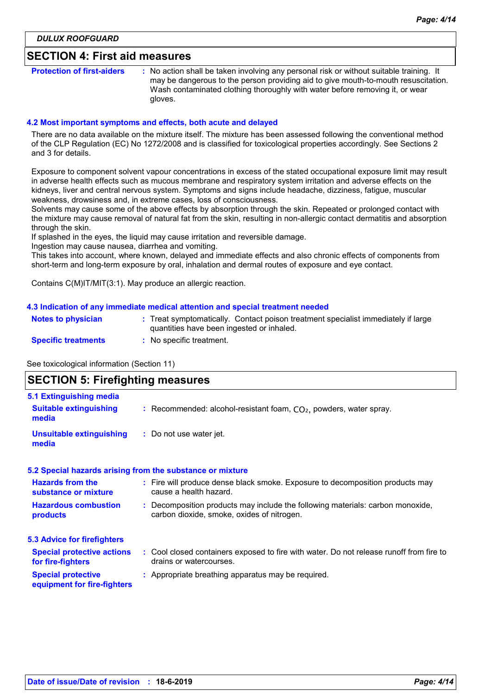## **SECTION 4: First aid measures**

**Protection of first-aiders** : No action shall be taken involving any personal risk or without suitable training. It may be dangerous to the person providing aid to give mouth-to-mouth resuscitation. Wash contaminated clothing thoroughly with water before removing it, or wear gloves.

#### **4.2 Most important symptoms and effects, both acute and delayed**

There are no data available on the mixture itself. The mixture has been assessed following the conventional method of the CLP Regulation (EC) No 1272/2008 and is classified for toxicological properties accordingly. See Sections 2 and 3 for details.

Exposure to component solvent vapour concentrations in excess of the stated occupational exposure limit may result in adverse health effects such as mucous membrane and respiratory system irritation and adverse effects on the kidneys, liver and central nervous system. Symptoms and signs include headache, dizziness, fatigue, muscular weakness, drowsiness and, in extreme cases, loss of consciousness.

Solvents may cause some of the above effects by absorption through the skin. Repeated or prolonged contact with the mixture may cause removal of natural fat from the skin, resulting in non-allergic contact dermatitis and absorption through the skin.

If splashed in the eyes, the liquid may cause irritation and reversible damage.

Ingestion may cause nausea, diarrhea and vomiting.

This takes into account, where known, delayed and immediate effects and also chronic effects of components from short-term and long-term exposure by oral, inhalation and dermal routes of exposure and eye contact.

Contains C(M)IT/MIT(3:1). May produce an allergic reaction.

#### **4.3 Indication of any immediate medical attention and special treatment needed**

| <b>Notes to physician</b>  | Treat symptomatically. Contact poison treatment specialist immediately if large<br>quantities have been ingested or inhaled. |  |
|----------------------------|------------------------------------------------------------------------------------------------------------------------------|--|
| <b>Specific treatments</b> | No specific treatment.                                                                                                       |  |

See toxicological information (Section 11)

## **SECTION 5: Firefighting measures**

| 5.1 Extinguishing media                                  |                                                                                                                              |
|----------------------------------------------------------|------------------------------------------------------------------------------------------------------------------------------|
| <b>Suitable extinguishing</b><br>media                   | : Recommended: alcohol-resistant foam, $CO2$ , powders, water spray.                                                         |
| <b>Unsuitable extinguishing</b><br>media                 | : Do not use water jet.                                                                                                      |
|                                                          | 5.2 Special hazards arising from the substance or mixture                                                                    |
| <b>Hazards from the</b><br>substance or mixture          | : Fire will produce dense black smoke. Exposure to decomposition products may<br>cause a health hazard.                      |
| <b>Hazardous combustion</b><br>products                  | : Decomposition products may include the following materials: carbon monoxide,<br>carbon dioxide, smoke, oxides of nitrogen. |
| <b>5.3 Advice for firefighters</b>                       |                                                                                                                              |
| <b>Special protective actions</b><br>for fire-fighters   | : Cool closed containers exposed to fire with water. Do not release runoff from fire to<br>drains or watercourses.           |
| <b>Special protective</b><br>equipment for fire-fighters | : Appropriate breathing apparatus may be required.                                                                           |
|                                                          |                                                                                                                              |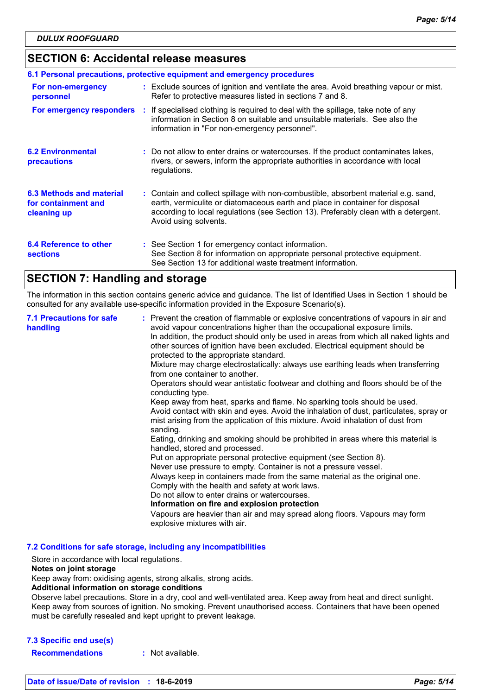## **SECTION 6: Accidental release measures**

| 6.1 Personal precautions, protective equipment and emergency procedures |  |                                                                                                                                                                                                                                                                                    |  |  |
|-------------------------------------------------------------------------|--|------------------------------------------------------------------------------------------------------------------------------------------------------------------------------------------------------------------------------------------------------------------------------------|--|--|
| For non-emergency<br>personnel                                          |  | : Exclude sources of ignition and ventilate the area. Avoid breathing vapour or mist.<br>Refer to protective measures listed in sections 7 and 8.                                                                                                                                  |  |  |
| For emergency responders                                                |  | : If specialised clothing is required to deal with the spillage, take note of any<br>information in Section 8 on suitable and unsuitable materials. See also the<br>information in "For non-emergency personnel".                                                                  |  |  |
| <b>6.2 Environmental</b><br>precautions                                 |  | : Do not allow to enter drains or watercourses. If the product contaminates lakes,<br>rivers, or sewers, inform the appropriate authorities in accordance with local<br>regulations.                                                                                               |  |  |
| 6.3 Methods and material<br>for containment and<br>cleaning up          |  | : Contain and collect spillage with non-combustible, absorbent material e.g. sand,<br>earth, vermiculite or diatomaceous earth and place in container for disposal<br>according to local regulations (see Section 13). Preferably clean with a detergent.<br>Avoid using solvents. |  |  |
| 6.4 Reference to other<br><b>sections</b>                               |  | : See Section 1 for emergency contact information.<br>See Section 8 for information on appropriate personal protective equipment.<br>See Section 13 for additional waste treatment information.                                                                                    |  |  |

## **SECTION 7: Handling and storage**

The information in this section contains generic advice and guidance. The list of Identified Uses in Section 1 should be consulted for any available use-specific information provided in the Exposure Scenario(s).

| <b>7.1 Precautions for safe</b><br>handling | : Prevent the creation of flammable or explosive concentrations of vapours in air and<br>avoid vapour concentrations higher than the occupational exposure limits.<br>In addition, the product should only be used in areas from which all naked lights and<br>other sources of ignition have been excluded. Electrical equipment should be<br>protected to the appropriate standard.<br>Mixture may charge electrostatically: always use earthing leads when transferring<br>from one container to another.<br>Operators should wear antistatic footwear and clothing and floors should be of the<br>conducting type.<br>Keep away from heat, sparks and flame. No sparking tools should be used.<br>Avoid contact with skin and eyes. Avoid the inhalation of dust, particulates, spray or<br>mist arising from the application of this mixture. Avoid inhalation of dust from<br>sanding.<br>Eating, drinking and smoking should be prohibited in areas where this material is<br>handled, stored and processed.<br>Put on appropriate personal protective equipment (see Section 8).<br>Never use pressure to empty. Container is not a pressure vessel.<br>Always keep in containers made from the same material as the original one.<br>Comply with the health and safety at work laws.<br>Do not allow to enter drains or watercourses.<br>Information on fire and explosion protection<br>Vapours are heavier than air and may spread along floors. Vapours may form<br>explosive mixtures with air. |
|---------------------------------------------|--------------------------------------------------------------------------------------------------------------------------------------------------------------------------------------------------------------------------------------------------------------------------------------------------------------------------------------------------------------------------------------------------------------------------------------------------------------------------------------------------------------------------------------------------------------------------------------------------------------------------------------------------------------------------------------------------------------------------------------------------------------------------------------------------------------------------------------------------------------------------------------------------------------------------------------------------------------------------------------------------------------------------------------------------------------------------------------------------------------------------------------------------------------------------------------------------------------------------------------------------------------------------------------------------------------------------------------------------------------------------------------------------------------------------------------------------------------------------------------------------------------|
|---------------------------------------------|--------------------------------------------------------------------------------------------------------------------------------------------------------------------------------------------------------------------------------------------------------------------------------------------------------------------------------------------------------------------------------------------------------------------------------------------------------------------------------------------------------------------------------------------------------------------------------------------------------------------------------------------------------------------------------------------------------------------------------------------------------------------------------------------------------------------------------------------------------------------------------------------------------------------------------------------------------------------------------------------------------------------------------------------------------------------------------------------------------------------------------------------------------------------------------------------------------------------------------------------------------------------------------------------------------------------------------------------------------------------------------------------------------------------------------------------------------------------------------------------------------------|

**7.2 Conditions for safe storage, including any incompatibilities**

Store in accordance with local regulations.

### **Notes on joint storage**

Keep away from: oxidising agents, strong alkalis, strong acids.

#### **Additional information on storage conditions**

Observe label precautions. Store in a dry, cool and well-ventilated area. Keep away from heat and direct sunlight. Keep away from sources of ignition. No smoking. Prevent unauthorised access. Containers that have been opened must be carefully resealed and kept upright to prevent leakage.

## **7.3 Specific end use(s)**

**Recommendations :** Not available.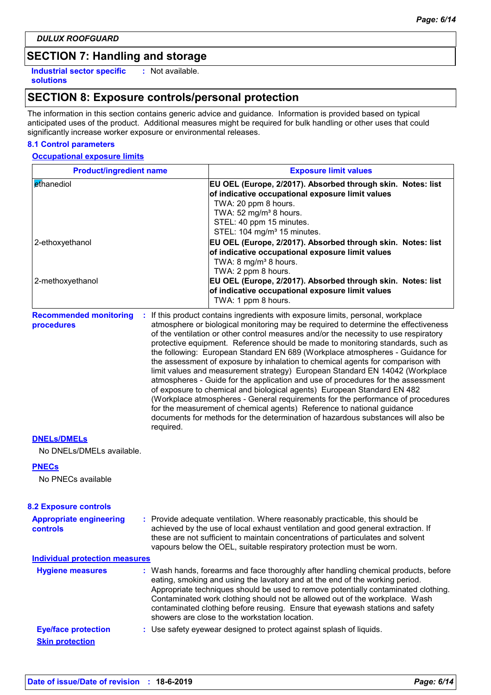## **SECTION 7: Handling and storage**

**Industrial sector specific : solutions**

: Not available.

## **SECTION 8: Exposure controls/personal protection**

The information in this section contains generic advice and guidance. Information is provided based on typical anticipated uses of the product. Additional measures might be required for bulk handling or other uses that could significantly increase worker exposure or environmental releases.

### **8.1 Control parameters**

#### **Occupational exposure limits**

| <b>Product/ingredient name</b>                  |           | <b>Exposure limit values</b>                                                                                                                                                                                                                                                                                                                                                                                                                                                                                                                                                                                                                                                                                                                                                                                                                                                                                                                                                                                        |
|-------------------------------------------------|-----------|---------------------------------------------------------------------------------------------------------------------------------------------------------------------------------------------------------------------------------------------------------------------------------------------------------------------------------------------------------------------------------------------------------------------------------------------------------------------------------------------------------------------------------------------------------------------------------------------------------------------------------------------------------------------------------------------------------------------------------------------------------------------------------------------------------------------------------------------------------------------------------------------------------------------------------------------------------------------------------------------------------------------|
| ethanediol                                      |           | EU OEL (Europe, 2/2017). Absorbed through skin. Notes: list<br>of indicative occupational exposure limit values<br>TWA: 20 ppm 8 hours.<br>TWA: 52 mg/m <sup>3</sup> 8 hours.<br>STEL: 40 ppm 15 minutes.<br>STEL: 104 mg/m <sup>3</sup> 15 minutes.                                                                                                                                                                                                                                                                                                                                                                                                                                                                                                                                                                                                                                                                                                                                                                |
| 2-ethoxyethanol                                 |           | EU OEL (Europe, 2/2017). Absorbed through skin. Notes: list<br>of indicative occupational exposure limit values<br>TWA: 8 mg/m <sup>3</sup> 8 hours.<br>TWA: 2 ppm 8 hours.                                                                                                                                                                                                                                                                                                                                                                                                                                                                                                                                                                                                                                                                                                                                                                                                                                         |
| 2-methoxyethanol                                |           | EU OEL (Europe, 2/2017). Absorbed through skin. Notes: list<br>of indicative occupational exposure limit values<br>TWA: 1 ppm 8 hours.                                                                                                                                                                                                                                                                                                                                                                                                                                                                                                                                                                                                                                                                                                                                                                                                                                                                              |
| <b>Recommended monitoring</b><br>procedures     | required. | If this product contains ingredients with exposure limits, personal, workplace<br>atmosphere or biological monitoring may be required to determine the effectiveness<br>of the ventilation or other control measures and/or the necessity to use respiratory<br>protective equipment. Reference should be made to monitoring standards, such as<br>the following: European Standard EN 689 (Workplace atmospheres - Guidance for<br>the assessment of exposure by inhalation to chemical agents for comparison with<br>limit values and measurement strategy) European Standard EN 14042 (Workplace<br>atmospheres - Guide for the application and use of procedures for the assessment<br>of exposure to chemical and biological agents) European Standard EN 482<br>(Workplace atmospheres - General requirements for the performance of procedures<br>for the measurement of chemical agents) Reference to national guidance<br>documents for methods for the determination of hazardous substances will also be |
| <b>DNELS/DMELS</b><br>No DNELs/DMELs available. |           |                                                                                                                                                                                                                                                                                                                                                                                                                                                                                                                                                                                                                                                                                                                                                                                                                                                                                                                                                                                                                     |
| <b>PNECs</b><br>No PNECs available              |           |                                                                                                                                                                                                                                                                                                                                                                                                                                                                                                                                                                                                                                                                                                                                                                                                                                                                                                                                                                                                                     |
| <b>8.2 Exposure controls</b>                    |           |                                                                                                                                                                                                                                                                                                                                                                                                                                                                                                                                                                                                                                                                                                                                                                                                                                                                                                                                                                                                                     |
| <b>Appropriate engineering</b><br>controls      |           | : Provide adequate ventilation. Where reasonably practicable, this should be<br>achieved by the use of local exhaust ventilation and good general extraction. If<br>these are not sufficient to maintain concentrations of particulates and solvent<br>vapours below the OEL, suitable respiratory protection must be worn.                                                                                                                                                                                                                                                                                                                                                                                                                                                                                                                                                                                                                                                                                         |

#### **Individual protection measures**

| <b>Hygiene measures</b>    | : Wash hands, forearms and face thoroughly after handling chemical products, before<br>eating, smoking and using the lavatory and at the end of the working period.<br>Appropriate techniques should be used to remove potentially contaminated clothing.<br>Contaminated work clothing should not be allowed out of the workplace. Wash<br>contaminated clothing before reusing. Ensure that eyewash stations and safety<br>showers are close to the workstation location. |
|----------------------------|-----------------------------------------------------------------------------------------------------------------------------------------------------------------------------------------------------------------------------------------------------------------------------------------------------------------------------------------------------------------------------------------------------------------------------------------------------------------------------|
| <b>Eye/face protection</b> | : Use safety eyewear designed to protect against splash of liquids.                                                                                                                                                                                                                                                                                                                                                                                                         |
| <b>Skin protection</b>     |                                                                                                                                                                                                                                                                                                                                                                                                                                                                             |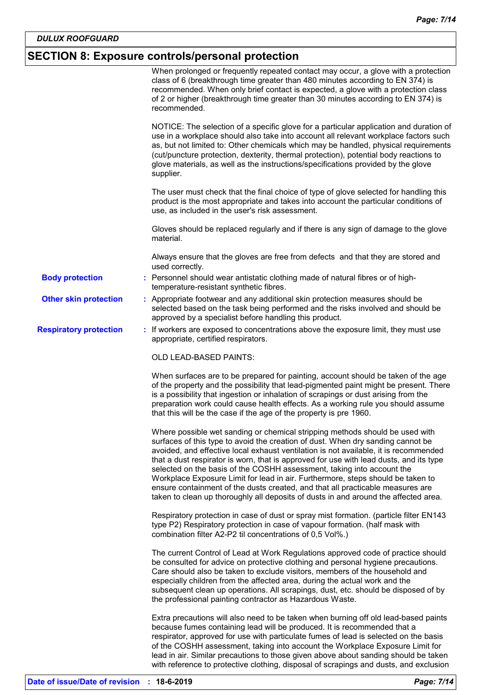# **SECTION 8: Exposure controls/personal protection**

|                               | When prolonged or frequently repeated contact may occur, a glove with a protection<br>class of 6 (breakthrough time greater than 480 minutes according to EN 374) is<br>recommended. When only brief contact is expected, a glove with a protection class<br>of 2 or higher (breakthrough time greater than 30 minutes according to EN 374) is<br>recommended.                                                                                                                                                                                                                                                                                                                          |
|-------------------------------|-----------------------------------------------------------------------------------------------------------------------------------------------------------------------------------------------------------------------------------------------------------------------------------------------------------------------------------------------------------------------------------------------------------------------------------------------------------------------------------------------------------------------------------------------------------------------------------------------------------------------------------------------------------------------------------------|
|                               | NOTICE: The selection of a specific glove for a particular application and duration of<br>use in a workplace should also take into account all relevant workplace factors such<br>as, but not limited to: Other chemicals which may be handled, physical requirements<br>(cut/puncture protection, dexterity, thermal protection), potential body reactions to<br>glove materials, as well as the instructions/specifications provided by the glove<br>supplier.                                                                                                                                                                                                                        |
|                               | The user must check that the final choice of type of glove selected for handling this<br>product is the most appropriate and takes into account the particular conditions of<br>use, as included in the user's risk assessment.                                                                                                                                                                                                                                                                                                                                                                                                                                                         |
|                               | Gloves should be replaced regularly and if there is any sign of damage to the glove<br>material.                                                                                                                                                                                                                                                                                                                                                                                                                                                                                                                                                                                        |
|                               | Always ensure that the gloves are free from defects and that they are stored and<br>used correctly.                                                                                                                                                                                                                                                                                                                                                                                                                                                                                                                                                                                     |
| <b>Body protection</b>        | : Personnel should wear antistatic clothing made of natural fibres or of high-<br>temperature-resistant synthetic fibres.                                                                                                                                                                                                                                                                                                                                                                                                                                                                                                                                                               |
| <b>Other skin protection</b>  | : Appropriate footwear and any additional skin protection measures should be<br>selected based on the task being performed and the risks involved and should be<br>approved by a specialist before handling this product.                                                                                                                                                                                                                                                                                                                                                                                                                                                               |
| <b>Respiratory protection</b> | : If workers are exposed to concentrations above the exposure limit, they must use<br>appropriate, certified respirators.                                                                                                                                                                                                                                                                                                                                                                                                                                                                                                                                                               |
|                               | OLD LEAD-BASED PAINTS:                                                                                                                                                                                                                                                                                                                                                                                                                                                                                                                                                                                                                                                                  |
|                               | When surfaces are to be prepared for painting, account should be taken of the age<br>of the property and the possibility that lead-pigmented paint might be present. There<br>is a possibility that ingestion or inhalation of scrapings or dust arising from the<br>preparation work could cause health effects. As a working rule you should assume<br>that this will be the case if the age of the property is pre 1960.                                                                                                                                                                                                                                                             |
|                               | Where possible wet sanding or chemical stripping methods should be used with<br>surfaces of this type to avoid the creation of dust. When dry sanding cannot be<br>avoided, and effective local exhaust ventilation is not available, it is recommended<br>that a dust respirator is worn, that is approved for use with lead dusts, and its type<br>selected on the basis of the COSHH assessment, taking into account the<br>Workplace Exposure Limit for lead in air. Furthermore, steps should be taken to<br>ensure containment of the dusts created, and that all practicable measures are<br>taken to clean up thoroughly all deposits of dusts in and around the affected area. |
|                               | Respiratory protection in case of dust or spray mist formation. (particle filter EN143<br>type P2) Respiratory protection in case of vapour formation. (half mask with<br>combination filter A2-P2 til concentrations of 0,5 Vol%.)                                                                                                                                                                                                                                                                                                                                                                                                                                                     |
|                               | The current Control of Lead at Work Regulations approved code of practice should<br>be consulted for advice on protective clothing and personal hygiene precautions.<br>Care should also be taken to exclude visitors, members of the household and<br>especially children from the affected area, during the actual work and the<br>subsequent clean up operations. All scrapings, dust, etc. should be disposed of by<br>the professional painting contractor as Hazardous Waste.                                                                                                                                                                                                     |
|                               | Extra precautions will also need to be taken when burning off old lead-based paints<br>because fumes containing lead will be produced. It is recommended that a<br>respirator, approved for use with particulate fumes of lead is selected on the basis<br>of the COSHH assessment, taking into account the Workplace Exposure Limit for<br>lead in air. Similar precautions to those given above about sanding should be taken<br>with reference to protective clothing, disposal of scrapings and dusts, and exclusion                                                                                                                                                                |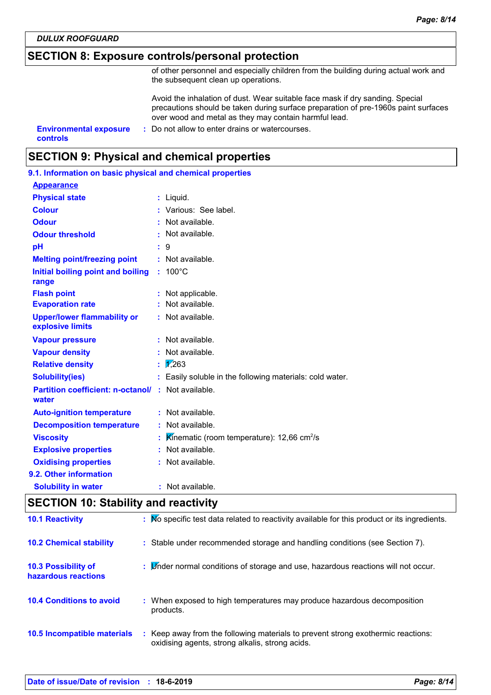*DULUX ROOFGUARD*

## **SECTION 8: Exposure controls/personal protection**

of other personnel and especially children from the building during actual work and the subsequent clean up operations.

Avoid the inhalation of dust. Wear suitable face mask if dry sanding. Special precautions should be taken during surface preparation of pre-1960s paint surfaces over wood and metal as they may contain harmful lead.

**controls**

**Environmental exposure : Do not allow to enter drains or watercourses.** 

## **SECTION 9: Physical and chemical properties**

| 9.1. Information on basic physical and chemical properties |    |                                                        |
|------------------------------------------------------------|----|--------------------------------------------------------|
| <b>Appearance</b>                                          |    |                                                        |
| <b>Physical state</b>                                      |    | : Liquid.                                              |
| <b>Colour</b>                                              |    | : Various: See label.                                  |
| <b>Odour</b>                                               |    | Not available.                                         |
| <b>Odour threshold</b>                                     |    | Not available.                                         |
| pH                                                         |    | 9                                                      |
| <b>Melting point/freezing point</b>                        |    | : Not available.                                       |
| Initial boiling point and boiling<br>range                 | t. | $100^{\circ}$ C                                        |
| <b>Flash point</b>                                         |    | : Not applicable.                                      |
| <b>Evaporation rate</b>                                    |    | Not available.                                         |
| <b>Upper/lower flammability or</b><br>explosive limits     |    | $:$ Not available.                                     |
| <b>Vapour pressure</b>                                     |    | : Not available.                                       |
| <b>Vapour density</b>                                      |    | : Not available.                                       |
| <b>Relative density</b>                                    | ŧ. | $\frac{1}{263}$                                        |
| <b>Solubility(ies)</b>                                     |    | Easily soluble in the following materials: cold water. |
| <b>Partition coefficient: n-octanol/</b><br>water          | ÷. | Not available.                                         |
| <b>Auto-ignition temperature</b>                           |    | : Not available.                                       |
| <b>Decomposition temperature</b>                           |    | Not available.                                         |
| <b>Viscosity</b>                                           |    | Kinematic (room temperature): 12,66 $cm^2/s$           |
| <b>Explosive properties</b>                                |    | Not available.                                         |
| <b>Oxidising properties</b>                                |    | Not available.                                         |
| 9.2. Other information                                     |    |                                                        |
| <b>Solubility in water</b>                                 | t  | Not available.                                         |
|                                                            |    |                                                        |

## **SECTION 10: Stability and reactivity**

| <b>10.1 Reactivity</b>                     | : No specific test data related to reactivity available for this product or its ingredients.                                        |
|--------------------------------------------|-------------------------------------------------------------------------------------------------------------------------------------|
| <b>10.2 Chemical stability</b>             | : Stable under recommended storage and handling conditions (see Section 7).                                                         |
| 10.3 Possibility of<br>hazardous reactions | : <i>Under normal conditions of storage and use</i> , hazardous reactions will not occur.                                           |
| <b>10.4 Conditions to avoid</b>            | : When exposed to high temperatures may produce hazardous decomposition<br>products.                                                |
| 10.5 Incompatible materials                | : Keep away from the following materials to prevent strong exothermic reactions:<br>oxidising agents, strong alkalis, strong acids. |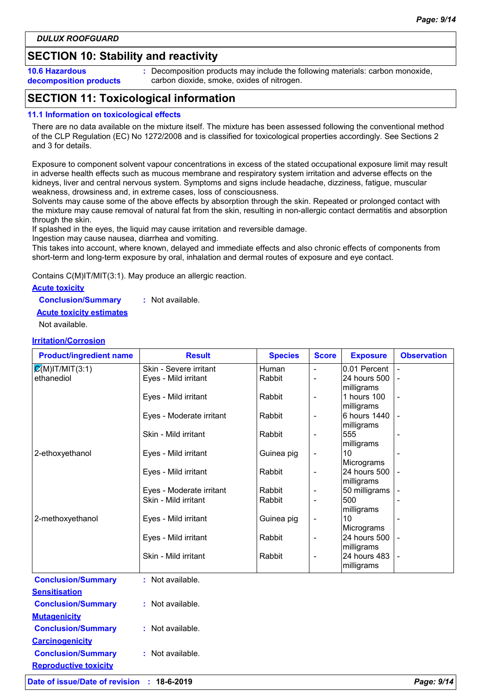## **SECTION 10: Stability and reactivity**

**10.6 Hazardous decomposition products** **:** Decomposition products may include the following materials: carbon monoxide, carbon dioxide, smoke, oxides of nitrogen.

## **SECTION 11: Toxicological information**

#### **11.1 Information on toxicological effects**

There are no data available on the mixture itself. The mixture has been assessed following the conventional method of the CLP Regulation (EC) No 1272/2008 and is classified for toxicological properties accordingly. See Sections 2 and 3 for details.

Exposure to component solvent vapour concentrations in excess of the stated occupational exposure limit may result in adverse health effects such as mucous membrane and respiratory system irritation and adverse effects on the kidneys, liver and central nervous system. Symptoms and signs include headache, dizziness, fatigue, muscular weakness, drowsiness and, in extreme cases, loss of consciousness.

Solvents may cause some of the above effects by absorption through the skin. Repeated or prolonged contact with the mixture may cause removal of natural fat from the skin, resulting in non-allergic contact dermatitis and absorption through the skin.

If splashed in the eyes, the liquid may cause irritation and reversible damage.

Ingestion may cause nausea, diarrhea and vomiting.

This takes into account, where known, delayed and immediate effects and also chronic effects of components from short-term and long-term exposure by oral, inhalation and dermal routes of exposure and eye contact.

Contains C(M)IT/MIT(3:1). May produce an allergic reaction.

#### **Acute toxicity**

**Conclusion/Summary :** Not available.

**Acute toxicity estimates**

Not available.

#### **Irritation/Corrosion**

| <b>Product/ingredient name</b> | <b>Result</b>                                    | <b>Species</b>   | <b>Score</b>             | <b>Exposure</b>            | <b>Observation</b> |
|--------------------------------|--------------------------------------------------|------------------|--------------------------|----------------------------|--------------------|
| $\mathcal{Q}(M)$ IT/MIT(3:1)   | Skin - Severe irritant                           | Human            |                          | 0.01 Percent               |                    |
| ethanediol                     | Eyes - Mild irritant                             | Rabbit           | $\overline{\phantom{0}}$ | 24 hours 500               |                    |
|                                |                                                  |                  |                          | milligrams                 |                    |
|                                | Eyes - Mild irritant                             | Rabbit           | $\overline{\phantom{0}}$ | 1 hours 100                |                    |
|                                | Eyes - Moderate irritant                         | Rabbit           |                          | milligrams<br>6 hours 1440 |                    |
|                                |                                                  |                  | $\overline{\phantom{0}}$ | milligrams                 |                    |
|                                | Skin - Mild irritant                             | Rabbit           | $\overline{\phantom{0}}$ | 555                        |                    |
|                                |                                                  |                  |                          | milligrams                 |                    |
| 2-ethoxyethanol                | Eyes - Mild irritant                             | Guinea pig       | -                        | 10                         |                    |
|                                |                                                  |                  |                          | Micrograms                 |                    |
|                                | Eyes - Mild irritant                             | Rabbit           | $\overline{\phantom{0}}$ | 24 hours 500               |                    |
|                                |                                                  |                  |                          | milligrams                 |                    |
|                                | Eyes - Moderate irritant<br>Skin - Mild irritant | Rabbit<br>Rabbit |                          | 50 milligrams<br>500       |                    |
|                                |                                                  |                  |                          | milligrams                 |                    |
| 2-methoxyethanol               | Eyes - Mild irritant                             | Guinea pig       | $\overline{\phantom{0}}$ | 10                         |                    |
|                                |                                                  |                  |                          | Micrograms                 |                    |
|                                | Eyes - Mild irritant                             | Rabbit           | -                        | 24 hours 500               |                    |
|                                |                                                  |                  |                          | milligrams                 |                    |
|                                | Skin - Mild irritant                             | Rabbit           | -                        | 24 hours 483               |                    |
|                                |                                                  |                  |                          | milligrams                 |                    |
| <b>Conclusion/Summary</b>      | : Not available.                                 |                  |                          |                            |                    |
| <b>Sensitisation</b>           |                                                  |                  |                          |                            |                    |
| <b>Conclusion/Summary</b>      | : Not available.                                 |                  |                          |                            |                    |
| <b>Mutagenicity</b>            |                                                  |                  |                          |                            |                    |
| <b>Conclusion/Summary</b>      | : Not available.                                 |                  |                          |                            |                    |
| <b>Carcinogenicity</b>         |                                                  |                  |                          |                            |                    |
| <b>Conclusion/Summary</b>      | : Not available.                                 |                  |                          |                            |                    |
| <b>Reproductive toxicity</b>   |                                                  |                  |                          |                            |                    |

**Date of issue/Date of revision : 18-6-2019** *Page: 9/14*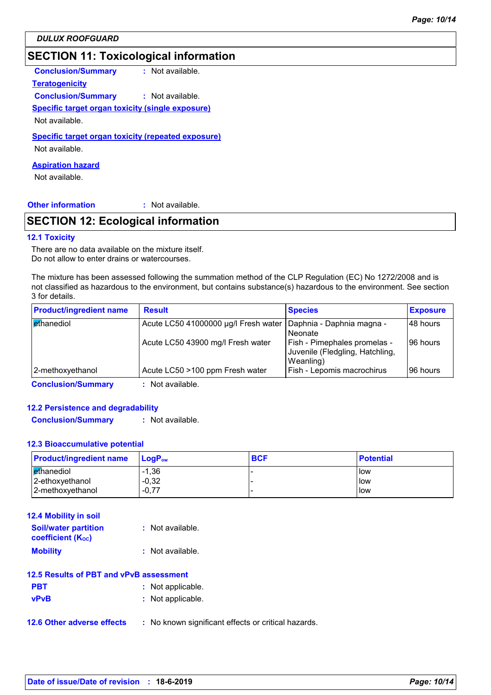*DULUX ROOFGUARD*

## **SECTION 11: Toxicological information**

**Conclusion/Summary :** Not available.

**Teratogenicity**

**Conclusion/Summary :** Not available.

**Specific target organ toxicity (single exposure)**

Not available.

**Specific target organ toxicity (repeated exposure)**

Not available.

**Aspiration hazard**

Not available.

**Other information :**

: Not available.

## **SECTION 12: Ecological information**

#### **12.1 Toxicity**

There are no data available on the mixture itself. Do not allow to enter drains or watercourses.

The mixture has been assessed following the summation method of the CLP Regulation (EC) No 1272/2008 and is not classified as hazardous to the environment, but contains substance(s) hazardous to the environment. See section 3 for details.

| <b>Product/ingredient name</b> | <b>Result</b>                        | <b>Species</b>                                                               | <b>Exposure</b> |
|--------------------------------|--------------------------------------|------------------------------------------------------------------------------|-----------------|
| ethanediol                     | Acute LC50 41000000 µg/l Fresh water | Daphnia - Daphnia magna -<br>Neonate                                         | I48 hours       |
|                                | Acute LC50 43900 mg/l Fresh water    | Fish - Pimephales promelas -<br>Juvenile (Fledgling, Hatchling,<br>Weanling) | 196 hours       |
| 2-methoxyethanol               | Acute LC50 >100 ppm Fresh water      | Fish - Lepomis macrochirus                                                   | 196 hours       |
| <b>Conclusion/Summary</b>      | • Not available                      |                                                                              |                 |

**Conclusion/Summary :** Not available.

#### **12.2 Persistence and degradability**

**Conclusion/Summary :** Not available.

#### **12.3 Bioaccumulative potential**

| <b>Product/ingredient name</b> | $\mathsf{LogP}_\mathsf{ow}$ | <b>BCF</b> | <b>Potential</b> |
|--------------------------------|-----------------------------|------------|------------------|
| l ethanediol                   | $-1,36$                     |            | l low            |
| 2-ethoxyethanol                | $-0,32$                     |            | low              |
| 2-methoxyethanol               | $-0,77$                     |            | low              |

| <b>12.4 Mobility in soil</b>                            |                  |
|---------------------------------------------------------|------------------|
| <b>Soil/water partition</b><br><b>coefficient (Koc)</b> | : Not available. |
| <b>Mobility</b>                                         | : Not available. |

|            | 12.5 Results of PBT and vPvB assessment |
|------------|-----------------------------------------|
| <b>PBT</b> | : Not applicable.                       |

| <b>vPvB</b> | : Not applicable. |
|-------------|-------------------|
|             |                   |

**12.6 Other adverse effects** : No known significant effects or critical hazards.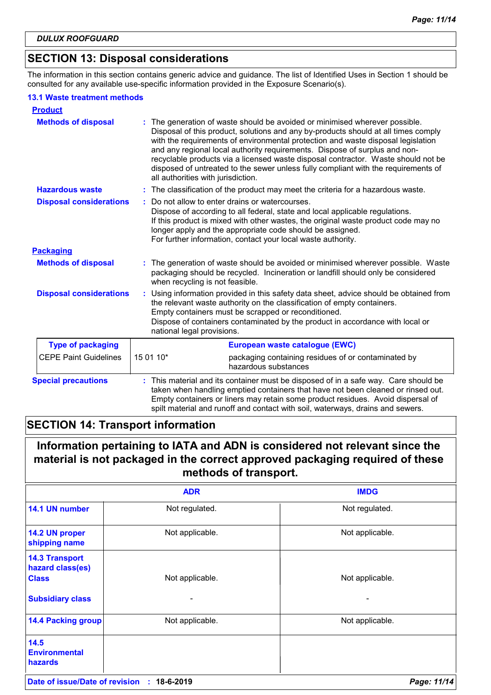## **SECTION 13: Disposal considerations**

The information in this section contains generic advice and guidance. The list of Identified Uses in Section 1 should be consulted for any available use-specific information provided in the Exposure Scenario(s).

#### **13.1 Waste treatment methods**

| <b>Product</b>                 |                                    |                                                                                                                                                                                                                                                                                                                                                                                                                                                                                                                |  |
|--------------------------------|------------------------------------|----------------------------------------------------------------------------------------------------------------------------------------------------------------------------------------------------------------------------------------------------------------------------------------------------------------------------------------------------------------------------------------------------------------------------------------------------------------------------------------------------------------|--|
| <b>Methods of disposal</b>     | all authorities with jurisdiction. | : The generation of waste should be avoided or minimised wherever possible.<br>Disposal of this product, solutions and any by-products should at all times comply<br>with the requirements of environmental protection and waste disposal legislation<br>and any regional local authority requirements. Dispose of surplus and non-<br>recyclable products via a licensed waste disposal contractor. Waste should not be<br>disposed of untreated to the sewer unless fully compliant with the requirements of |  |
| <b>Hazardous waste</b>         |                                    | : The classification of the product may meet the criteria for a hazardous waste.                                                                                                                                                                                                                                                                                                                                                                                                                               |  |
| <b>Disposal considerations</b> |                                    | Do not allow to enter drains or watercourses.<br>Dispose of according to all federal, state and local applicable regulations.<br>If this product is mixed with other wastes, the original waste product code may no<br>longer apply and the appropriate code should be assigned.<br>For further information, contact your local waste authority.                                                                                                                                                               |  |
| <b>Packaging</b>               |                                    |                                                                                                                                                                                                                                                                                                                                                                                                                                                                                                                |  |
| <b>Methods of disposal</b>     | when recycling is not feasible.    | The generation of waste should be avoided or minimised wherever possible. Waste<br>packaging should be recycled. Incineration or landfill should only be considered                                                                                                                                                                                                                                                                                                                                            |  |
| <b>Disposal considerations</b> | national legal provisions.         | Using information provided in this safety data sheet, advice should be obtained from<br>the relevant waste authority on the classification of empty containers.<br>Empty containers must be scrapped or reconditioned.<br>Dispose of containers contaminated by the product in accordance with local or                                                                                                                                                                                                        |  |
| <b>Type of packaging</b>       | European waste catalogue (EWC)     |                                                                                                                                                                                                                                                                                                                                                                                                                                                                                                                |  |
| <b>CEPE Paint Guidelines</b>   | 15 01 10*                          | packaging containing residues of or contaminated by<br>hazardous substances                                                                                                                                                                                                                                                                                                                                                                                                                                    |  |
| <b>Special precautions</b>     |                                    | This material and its container must be disposed of in a safe way. Care should be<br>taken when handling emptied containers that have not been cleaned or rinsed out.<br>Empty containers or liners may retain some product residues. Avoid dispersal of<br>spilt material and runoff and contact with soil, waterways, drains and sewers.                                                                                                                                                                     |  |

## **SECTION 14: Transport information**

**Information pertaining to IATA and ADN is considered not relevant since the material is not packaged in the correct approved packaging required of these methods of transport.**

|                                                           | <b>ADR</b>      | <b>IMDG</b>              |
|-----------------------------------------------------------|-----------------|--------------------------|
| 14.1 UN number                                            | Not regulated.  | Not regulated.           |
| 14.2 UN proper<br>shipping name                           | Not applicable. | Not applicable.          |
| <b>14.3 Transport</b><br>hazard class(es)<br><b>Class</b> | Not applicable. | Not applicable.          |
| <b>Subsidiary class</b>                                   | -               | $\overline{\phantom{0}}$ |
| <b>14.4 Packing group</b>                                 | Not applicable. | Not applicable.          |
| 14.5<br><b>Environmental</b><br><b>hazards</b>            |                 |                          |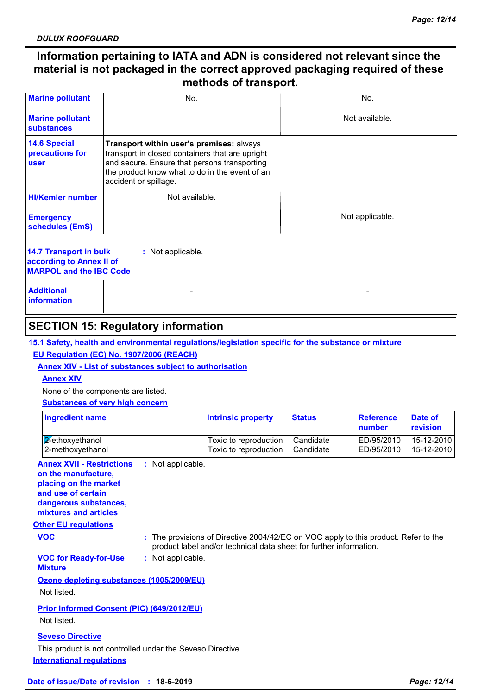*DULUX ROOFGUARD*

## **Information pertaining to IATA and ADN is considered not relevant since the material is not packaged in the correct approved packaging required of these methods of transport.**

| <b>Marine pollutant</b>                                                                                          | No.                                                                                                                                                                                                                    | No.             |  |  |
|------------------------------------------------------------------------------------------------------------------|------------------------------------------------------------------------------------------------------------------------------------------------------------------------------------------------------------------------|-----------------|--|--|
| <b>Marine pollutant</b><br>substances                                                                            |                                                                                                                                                                                                                        | Not available.  |  |  |
| <b>14.6 Special</b><br>precautions for<br><b>user</b>                                                            | Transport within user's premises: always<br>transport in closed containers that are upright<br>and secure. Ensure that persons transporting<br>the product know what to do in the event of an<br>accident or spillage. |                 |  |  |
| <b>HI/Kemler number</b>                                                                                          | Not available.                                                                                                                                                                                                         |                 |  |  |
| <b>Emergency</b><br>schedules (EmS)                                                                              |                                                                                                                                                                                                                        | Not applicable. |  |  |
| <b>14.7 Transport in bulk</b><br>: Not applicable.<br>according to Annex II of<br><b>MARPOL and the IBC Code</b> |                                                                                                                                                                                                                        |                 |  |  |
| <b>Additional</b><br>information                                                                                 |                                                                                                                                                                                                                        |                 |  |  |

## **SECTION 15: Regulatory information**

**15.1 Safety, health and environmental regulations/legislation specific for the substance or mixture**

### **EU Regulation (EC) No. 1907/2006 (REACH)**

**Annex XIV - List of substances subject to authorisation**

### **Annex XIV**

None of the components are listed.

#### **Substances of very high concern**

**International regulations** This product is not controlled under the Seveso Directive.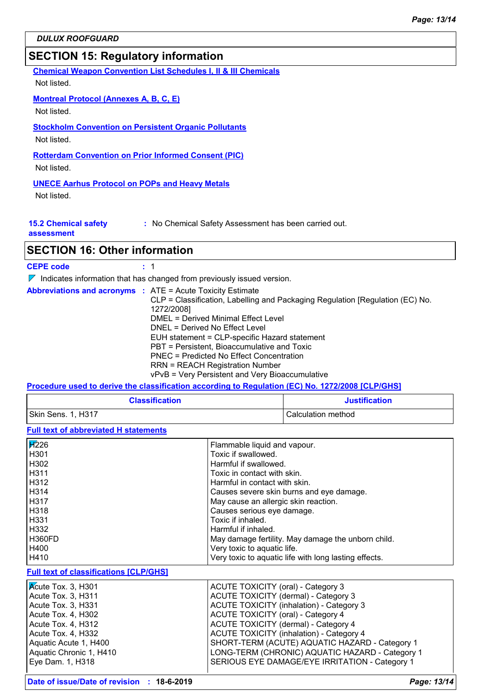## **SECTION 15: Regulatory information**

**Chemical Weapon Convention List Schedules I, II & III Chemicals**

Not listed.

### **Montreal Protocol (Annexes A, B, C, E)**

Not listed.

#### **Stockholm Convention on Persistent Organic Pollutants**

Not listed.

#### **Rotterdam Convention on Prior Informed Consent (PIC)**

Not listed.

#### **UNECE Aarhus Protocol on POPs and Heavy Metals**

Not listed.

| <b>15.2 Chemical safety</b> |  |
|-----------------------------|--|
|-----------------------------|--|

**:** No Chemical Safety Assessment has been carried out.

**assessment**

## **SECTION 16: Other information**

#### **CEPE code :** 1

 $\nabla$  Indicates information that has changed from previously issued version.

|  |  | <b>Abbreviations and acronyms : ATE = Acute Toxicity Estimate</b>             |
|--|--|-------------------------------------------------------------------------------|
|  |  | CLP = Classification, Labelling and Packaging Regulation [Regulation (EC) No. |
|  |  | 1272/2008]                                                                    |
|  |  | DMEL = Derived Minimal Effect Level                                           |
|  |  | DNEL = Derived No Effect Level                                                |
|  |  | EUH statement = CLP-specific Hazard statement                                 |
|  |  | PBT = Persistent, Bioaccumulative and Toxic                                   |
|  |  | <b>PNEC = Predicted No Effect Concentration</b>                               |
|  |  | <b>RRN = REACH Registration Number</b>                                        |
|  |  | vPvB = Very Persistent and Very Bioaccumulative                               |

## **Procedure used to derive the classification according to Regulation (EC) No. 1272/2008 [CLP/GHS]**

| <b>Classification</b> | <b>Justification</b> |
|-----------------------|----------------------|
| Skin Sens. 1, H317    | Calculation method   |

**Full text of abbreviated H statements**

| <b>H</b> <sub>226</sub>                       | Flammable liquid and vapour.                          |
|-----------------------------------------------|-------------------------------------------------------|
| H301                                          | Toxic if swallowed.                                   |
| H302                                          | Harmful if swallowed.                                 |
| H311                                          | Toxic in contact with skin.                           |
| H312                                          | Harmful in contact with skin.                         |
| H314                                          | Causes severe skin burns and eye damage.              |
| H317                                          | May cause an allergic skin reaction.                  |
| H318                                          | Causes serious eye damage.                            |
| H331                                          | Toxic if inhaled.                                     |
| H332                                          | Harmful if inhaled.                                   |
| <b>H360FD</b>                                 | May damage fertility. May damage the unborn child.    |
| H400                                          | Very toxic to aquatic life.                           |
| H410                                          | Very toxic to aquatic life with long lasting effects. |
| <b>Full text of classifications [CLP/GHS]</b> |                                                       |
| Kcute Tox. 3, H301                            | ACUTE TOXICITY (oral) - Category 3                    |
| Acute Tox. 3, H311                            | ACUTE TOXICITY (dermal) - Category 3                  |
| Acute Tox. 3, H331                            | ACUTE TOXICITY (inhalation) - Category 3              |
| Acute Tox. 4, H302                            | <b>ACUTE TOXICITY (oral) - Category 4</b>             |
| Acute Tox. 4, H312                            | ACUTE TOXICITY (dermal) - Category 4                  |
| Acute Tox. 4, H332                            | <b>ACUTE TOXICITY (inhalation) - Category 4</b>       |
| Aquatic Acute 1, H400                         | SHORT-TERM (ACUTE) AQUATIC HAZARD - Category 1        |
| Aquatic Chronic 1, H410                       | LONG-TERM (CHRONIC) AQUATIC HAZARD - Category 1       |

Eye Dam. 1, H318 SERIOUS EYE DAMAGE/EYE IRRITATION - Category 1